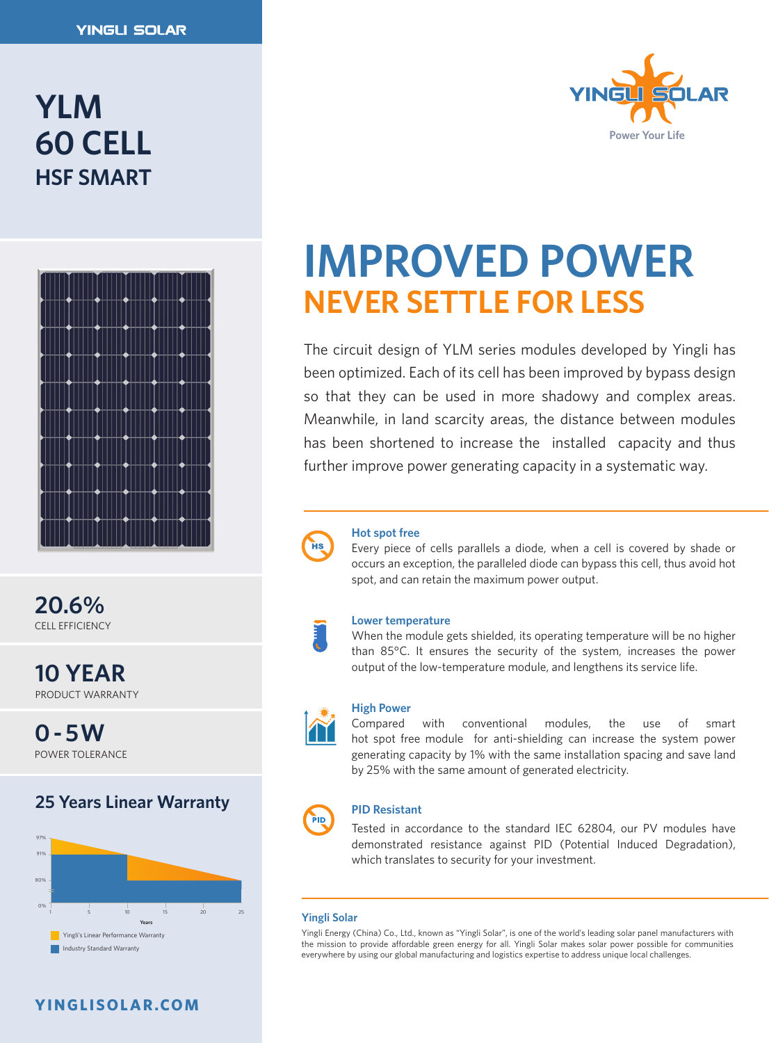# **YLM 60 CELL HSF SMART**



**20.6%** CELL EFFICIENCY

**10 YEAR** PRODUCT WARRANTY

**0 - 5W** POWER TOLERANCE

## **25 Years Linear Warranty**



## **YINGLISOLAR.COM**



# **IMPROVED POWER NEVER SETTLE FOR LESS**

The circuit design of YLM series modules developed by Yingli has been optimized. Each of its cell has been improved by bypass design so that they can be used in more shadowy and complex areas. Meanwhile, in land scarcity areas, the distance between modules has been shortened to increase the installed capacity and thus further improve power generating capacity in a systematic way.



#### **Hot spot free**

Every piece of cells parallels a diode, when a cell is covered by shade or occurs an exception, the paralleled diode can bypass this cell, thus avoid hot spot, and can retain the maximum power output.

#### **Lower temperature**

When the module gets shielded, its operating temperature will be no higher than 85°C. It ensures the security of the system, increases the power output of the low-temperature module, and lengthens its service life.



#### **High Power**

Compared with conventional modules, the use of smart hot spot free module for anti-shielding can increase the system power generating capacity by 1% with the same installation spacing and save land by 25% with the same amount of generated electricity.

# PID

#### **PID Resistant**

Tested in accordance to the standard IEC 62804, our PV modules have demonstrated resistance against PID (Potential Induced Degradation), which translates to security for your investment.

#### **Yingli Solar**

Yingli Energy (China) Co., Ltd., known as "Yingli Solar", is one of the world's leading solar panel manufacturers with the mission to provide affordable green energy for all. Yingli Solar makes solar power possible for communities everywhere by using our global manufacturing and logistics expertise to address unique local challenges.